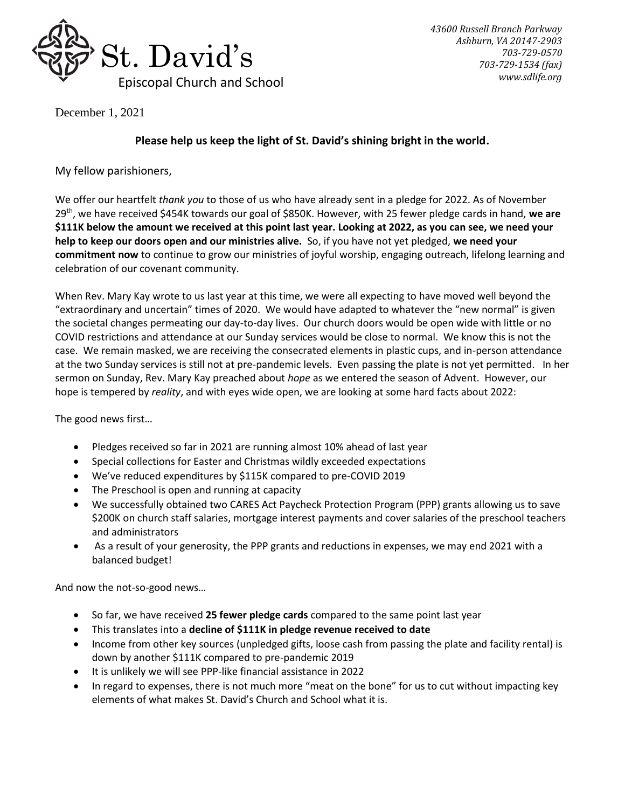

December 1, 2021

## **Please help us keep the light of St. David's shining bright in the world.**

My fellow parishioners,

We offer our heartfelt *thank you* to those of us who have already sent in a pledge for 2022. As of November 29th, we have received \$454K towards our goal of \$850K. However, with 25 fewer pledge cards in hand, **we are \$111K below the amount we received at this point last year. Looking at 2022, as you can see, we need your help to keep our doors open and our ministries alive.** So, if you have not yet pledged, **we need your commitment now** to continue to grow our ministries of joyful worship, engaging outreach, lifelong learning and celebration of our covenant community.

When Rev. Mary Kay wrote to us last year at this time, we were all expecting to have moved well beyond the "extraordinary and uncertain" times of 2020. We would have adapted to whatever the "new normal" is given the societal changes permeating our day-to-day lives. Our church doors would be open wide with little or no COVID restrictions and attendance at our Sunday services would be close to normal. We know this is not the case. We remain masked, we are receiving the consecrated elements in plastic cups, and in-person attendance at the two Sunday services is still not at pre-pandemic levels. Even passing the plate is not yet permitted. In her sermon on Sunday, Rev. Mary Kay preached about *hope* as we entered the season of Advent. However, our hope is tempered by *reality*, and with eyes wide open, we are looking at some hard facts about 2022:

The good news first…

- Pledges received so far in 2021 are running almost 10% ahead of last year
- Special collections for Easter and Christmas wildly exceeded expectations
- We've reduced expenditures by \$115K compared to pre-COVID 2019
- The Preschool is open and running at capacity
- We successfully obtained two CARES Act Paycheck Protection Program (PPP) grants allowing us to save \$200K on church staff salaries, mortgage interest payments and cover salaries of the preschool teachers and administrators
- As a result of your generosity, the PPP grants and reductions in expenses, we may end 2021 with a balanced budget!

And now the not-so-good news…

- So far, we have received **25 fewer pledge cards** compared to the same point last year
- This translates into a **decline of \$111K in pledge revenue received to date**
- Income from other key sources (unpledged gifts, loose cash from passing the plate and facility rental) is down by another \$111K compared to pre-pandemic 2019
- It is unlikely we will see PPP-like financial assistance in 2022
- In regard to expenses, there is not much more "meat on the bone" for us to cut without impacting key elements of what makes St. David's Church and School what it is.